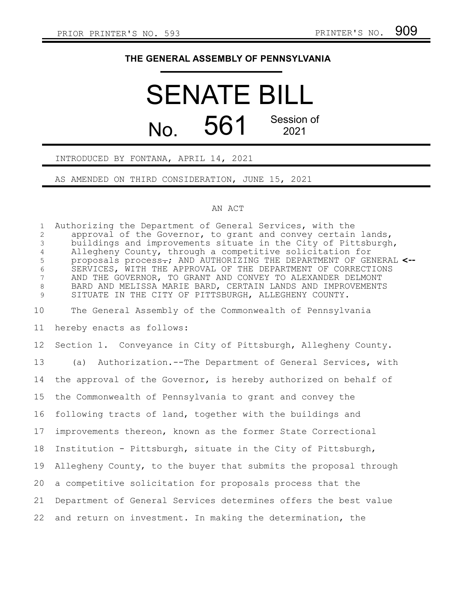## **THE GENERAL ASSEMBLY OF PENNSYLVANIA**

# SENATE BILL No.  $561$ <sup>Session of</sup> 2021

### INTRODUCED BY FONTANA, APRIL 14, 2021

AS AMENDED ON THIRD CONSIDERATION, JUNE 15, 2021

#### AN ACT

Authorizing the Department of General Services, with the approval of the Governor, to grant and convey certain lands, buildings and improvements situate in the City of Pittsburgh, Allegheny County, through a competitive solicitation for proposals process<del>.</del>; AND AUTHORIZING THE DEPARTMENT OF GENERAL <--SERVICES, WITH THE APPROVAL OF THE DEPARTMENT OF CORRECTIONS AND THE GOVERNOR, TO GRANT AND CONVEY TO ALEXANDER DELMONT BARD AND MELISSA MARIE BARD, CERTAIN LANDS AND IMPROVEMENTS SITUATE IN THE CITY OF PITTSBURGH, ALLEGHENY COUNTY. The General Assembly of the Commonwealth of Pennsylvania hereby enacts as follows: Section 1. Conveyance in City of Pittsburgh, Allegheny County. (a) Authorization.--The Department of General Services, with the approval of the Governor, is hereby authorized on behalf of the Commonwealth of Pennsylvania to grant and convey the following tracts of land, together with the buildings and improvements thereon, known as the former State Correctional Institution - Pittsburgh, situate in the City of Pittsburgh, Allegheny County, to the buyer that submits the proposal through a competitive solicitation for proposals process that the Department of General Services determines offers the best value and return on investment. In making the determination, the 1 2 3 4 5 6 7 8 9 10 11 12 13 14 15 16 17 18 19 20 21 22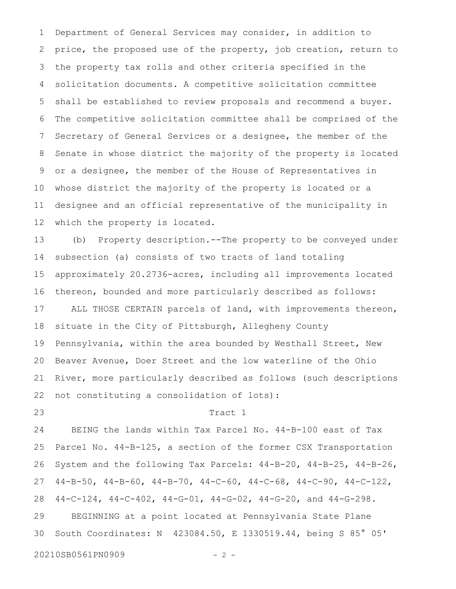Department of General Services may consider, in addition to price, the proposed use of the property, job creation, return to the property tax rolls and other criteria specified in the solicitation documents. A competitive solicitation committee shall be established to review proposals and recommend a buyer. The competitive solicitation committee shall be comprised of the Secretary of General Services or a designee, the member of the Senate in whose district the majority of the property is located or a designee, the member of the House of Representatives in whose district the majority of the property is located or a designee and an official representative of the municipality in which the property is located. 1 2 3 4 5 6 7 8 9 10 11 12

(b) Property description.--The property to be conveyed under subsection (a) consists of two tracts of land totaling approximately 20.2736-acres, including all improvements located thereon, bounded and more particularly described as follows: ALL THOSE CERTAIN parcels of land, with improvements thereon, situate in the City of Pittsburgh, Allegheny County Pennsylvania, within the area bounded by Westhall Street, New Beaver Avenue, Doer Street and the low waterline of the Ohio River, more particularly described as follows (such descriptions not constituting a consolidation of lots): 13 14 15 16 17 18 19 20 21 22

23

#### Tract 1

BEING the lands within Tax Parcel No. 44-B-100 east of Tax Parcel No. 44-B-125, a section of the former CSX Transportation System and the following Tax Parcels: 44-B-20, 44-B-25, 44-B-26, 44-B-50, 44-B-60, 44-B-70, 44-C-60, 44-C-68, 44-C-90, 44-C-122, 44-C-124, 44-C-402, 44-G-01, 44-G-02, 44-G-20, and 44-G-298. BEGINNING at a point located at Pennsylvania State Plane South Coordinates: N 423084.50, E 1330519.44, being S 85° 05' 24 25 26 27 28 29 30

20210SB0561PN0909 - 2 -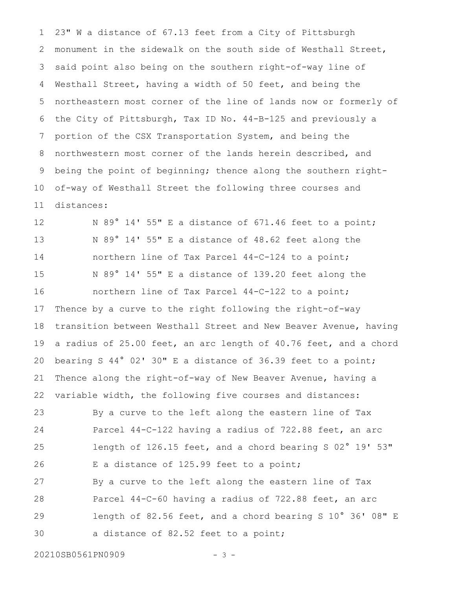23" W a distance of 67.13 feet from a City of Pittsburgh monument in the sidewalk on the south side of Westhall Street, said point also being on the southern right-of-way line of Westhall Street, having a width of 50 feet, and being the northeastern most corner of the line of lands now or formerly of the City of Pittsburgh, Tax ID No. 44-B-125 and previously a portion of the CSX Transportation System, and being the northwestern most corner of the lands herein described, and being the point of beginning; thence along the southern rightof-way of Westhall Street the following three courses and distances: 1 2 3 4 5 6 7 8 9 10 11

N 89° 14' 55" E a distance of 671.46 feet to a point; N 89° 14' 55" E a distance of 48.62 feet along the northern line of Tax Parcel 44-C-124 to a point; N 89° 14' 55" E a distance of 139.20 feet along the northern line of Tax Parcel 44-C-122 to a point; Thence by a curve to the right following the right-of-way transition between Westhall Street and New Beaver Avenue, having a radius of 25.00 feet, an arc length of 40.76 feet, and a chord bearing S 44° 02' 30" E a distance of 36.39 feet to a point; Thence along the right-of-way of New Beaver Avenue, having a variable width, the following five courses and distances: 12 13 14 15 16 17 18 19 20 21 22

By a curve to the left along the eastern line of Tax Parcel 44-C-122 having a radius of 722.88 feet, an arc length of 126.15 feet, and a chord bearing S 02° 19' 53" E a distance of 125.99 feet to a point; By a curve to the left along the eastern line of Tax Parcel 44-C-60 having a radius of 722.88 feet, an arc length of 82.56 feet, and a chord bearing S 10° 36' 08" E a distance of 82.52 feet to a point; 23 24 25 26 27 28 29 30

20210SB0561PN0909 - 3 -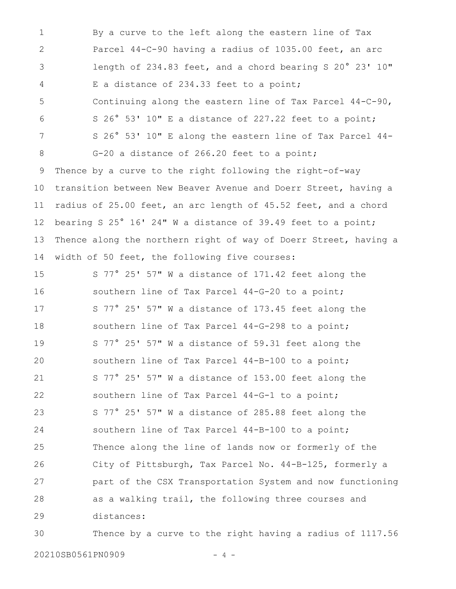By a curve to the left along the eastern line of Tax Parcel 44-C-90 having a radius of 1035.00 feet, an arc length of 234.83 feet, and a chord bearing S 20° 23' 10" E a distance of 234.33 feet to a point; Continuing along the eastern line of Tax Parcel 44-C-90, S 26° 53' 10" E a distance of 227.22 feet to a point; S 26° 53' 10" E along the eastern line of Tax Parcel 44- G-20 a distance of 266.20 feet to a point; Thence by a curve to the right following the right-of-way transition between New Beaver Avenue and Doerr Street, having a radius of 25.00 feet, an arc length of 45.52 feet, and a chord bearing S 25° 16' 24" W a distance of 39.49 feet to a point; Thence along the northern right of way of Doerr Street, having a width of 50 feet, the following five courses: 1 2 3 4 5 6 7 8 9 10 11 12 13 14

S 77° 25' 57" W a distance of 171.42 feet along the southern line of Tax Parcel 44-G-20 to a point; S 77° 25' 57" W a distance of 173.45 feet along the southern line of Tax Parcel 44-G-298 to a point; S 77° 25' 57" W a distance of 59.31 feet along the southern line of Tax Parcel 44-B-100 to a point; S 77° 25' 57" W a distance of 153.00 feet along the southern line of Tax Parcel 44-G-1 to a point; S 77° 25' 57" W a distance of 285.88 feet along the southern line of Tax Parcel 44-B-100 to a point; Thence along the line of lands now or formerly of the City of Pittsburgh, Tax Parcel No. 44-B-125, formerly a part of the CSX Transportation System and now functioning as a walking trail, the following three courses and distances: 15 16 17 18 19 20 21 22 23 24 25 26 27 28 29

Thence by a curve to the right having a radius of 1117.56 30

20210SB0561PN0909 - 4 -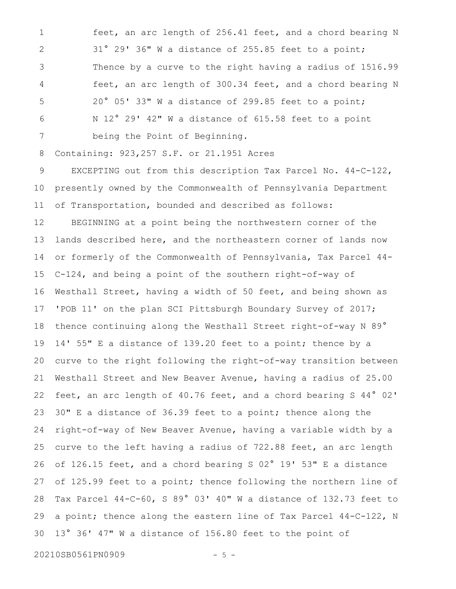feet, an arc length of 256.41 feet, and a chord bearing N 31° 29' 36" W a distance of 255.85 feet to a point; Thence by a curve to the right having a radius of 1516.99 feet, an arc length of 300.34 feet, and a chord bearing N 20° 05' 33" W a distance of 299.85 feet to a point; N 12° 29' 42" W a distance of 615.58 feet to a point being the Point of Beginning. 1 2 3 4 5 6 7

Containing: 923,257 S.F. or 21.1951 Acres 8

EXCEPTING out from this description Tax Parcel No. 44-C-122, presently owned by the Commonwealth of Pennsylvania Department of Transportation, bounded and described as follows: 9 10 11

BEGINNING at a point being the northwestern corner of the lands described here, and the northeastern corner of lands now or formerly of the Commonwealth of Pennsylvania, Tax Parcel 44- C-124, and being a point of the southern right-of-way of Westhall Street, having a width of 50 feet, and being shown as 'POB 11' on the plan SCI Pittsburgh Boundary Survey of 2017; thence continuing along the Westhall Street right-of-way N 89° 14' 55" E a distance of 139.20 feet to a point; thence by a curve to the right following the right-of-way transition between Westhall Street and New Beaver Avenue, having a radius of 25.00 feet, an arc length of 40.76 feet, and a chord bearing S 44° 02' 30" E a distance of 36.39 feet to a point; thence along the right-of-way of New Beaver Avenue, having a variable width by a curve to the left having a radius of 722.88 feet, an arc length of 126.15 feet, and a chord bearing S 02° 19' 53" E a distance of 125.99 feet to a point; thence following the northern line of Tax Parcel 44-C-60, S 89° 03' 40" W a distance of 132.73 feet to a point; thence along the eastern line of Tax Parcel 44-C-122, N 13° 36' 47" W a distance of 156.80 feet to the point of 12 13 14 15 16 17 18 19 20 21 22 23 24 25 26 27 28 29 30

20210SB0561PN0909 - 5 -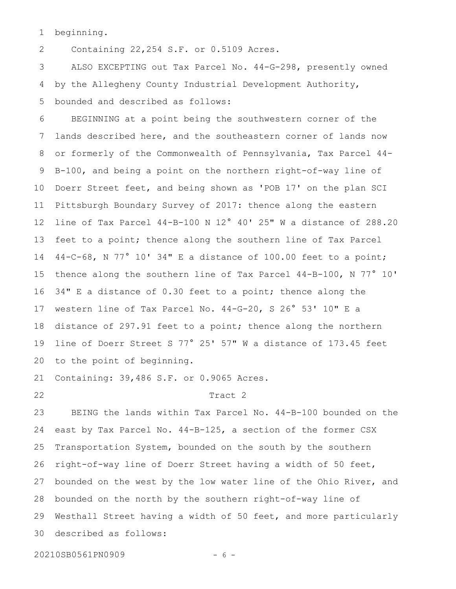beginning. 1

Containing 22,254 S.F. or 0.5109 Acres. 2

ALSO EXCEPTING out Tax Parcel No. 44-G-298, presently owned by the Allegheny County Industrial Development Authority, bounded and described as follows: 3 4 5

BEGINNING at a point being the southwestern corner of the lands described here, and the southeastern corner of lands now or formerly of the Commonwealth of Pennsylvania, Tax Parcel 44- B-100, and being a point on the northern right-of-way line of Doerr Street feet, and being shown as 'POB 17' on the plan SCI Pittsburgh Boundary Survey of 2017: thence along the eastern line of Tax Parcel 44-B-100 N 12° 40' 25" W a distance of 288.20 feet to a point; thence along the southern line of Tax Parcel 44-C-68, N 77° 10' 34" E a distance of 100.00 feet to a point; thence along the southern line of Tax Parcel 44-B-100, N 77° 10' 34" E a distance of 0.30 feet to a point; thence along the western line of Tax Parcel No. 44-G-20, S 26° 53' 10" E a distance of 297.91 feet to a point; thence along the northern line of Doerr Street S 77° 25' 57" W a distance of 173.45 feet to the point of beginning. 6 7 8 9 10 11 12 13 14 15 16 17 18 19 20

Containing: 39,486 S.F. or 0.9065 Acres. 21

22

#### Tract 2

BEING the lands within Tax Parcel No. 44-B-100 bounded on the east by Tax Parcel No. 44-B-125, a section of the former CSX Transportation System, bounded on the south by the southern right-of-way line of Doerr Street having a width of 50 feet, bounded on the west by the low water line of the Ohio River, and bounded on the north by the southern right-of-way line of Westhall Street having a width of 50 feet, and more particularly described as follows: 23 24 25 26 27 28 29 30

20210SB0561PN0909 - 6 -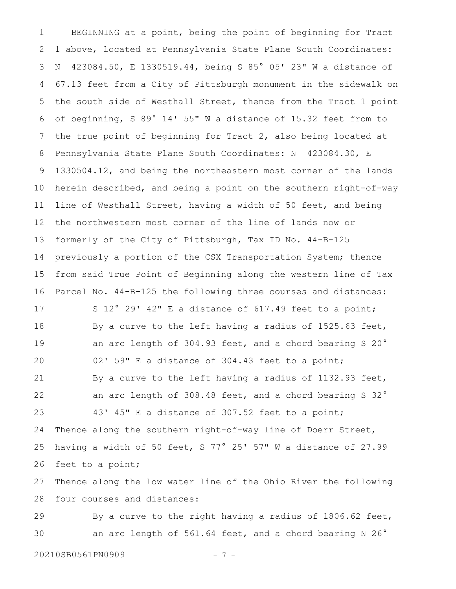BEGINNING at a point, being the point of beginning for Tract 1 above, located at Pennsylvania State Plane South Coordinates: N 423084.50, E 1330519.44, being S 85° 05' 23" W a distance of 67.13 feet from a City of Pittsburgh monument in the sidewalk on the south side of Westhall Street, thence from the Tract 1 point of beginning, S 89° 14' 55" W a distance of 15.32 feet from to the true point of beginning for Tract 2, also being located at Pennsylvania State Plane South Coordinates: N 423084.30, E 1330504.12, and being the northeastern most corner of the lands herein described, and being a point on the southern right-of-way line of Westhall Street, having a width of 50 feet, and being the northwestern most corner of the line of lands now or formerly of the City of Pittsburgh, Tax ID No. 44-B-125 previously a portion of the CSX Transportation System; thence from said True Point of Beginning along the western line of Tax Parcel No. 44-B-125 the following three courses and distances: S 12° 29' 42" E a distance of 617.49 feet to a point; By a curve to the left having a radius of 1525.63 feet, an arc length of 304.93 feet, and a chord bearing S 20° 02' 59" E a distance of 304.43 feet to a point; By a curve to the left having a radius of 1132.93 feet, an arc length of 308.48 feet, and a chord bearing S 32° 43' 45" E a distance of 307.52 feet to a point; Thence along the southern right-of-way line of Doerr Street, having a width of 50 feet, S 77° 25' 57" W a distance of 27.99 feet to a point; Thence along the low water line of the Ohio River the following four courses and distances: By a curve to the right having a radius of 1806.62 feet, 1 2 3 4 5 6 7 8 9 10 11 12 13 14 15 16 17 18 19 20 21 22 23 24 25 26 27 28 29

an arc length of 561.64 feet, and a chord bearing N 26° 30

20210SB0561PN0909 - 7 -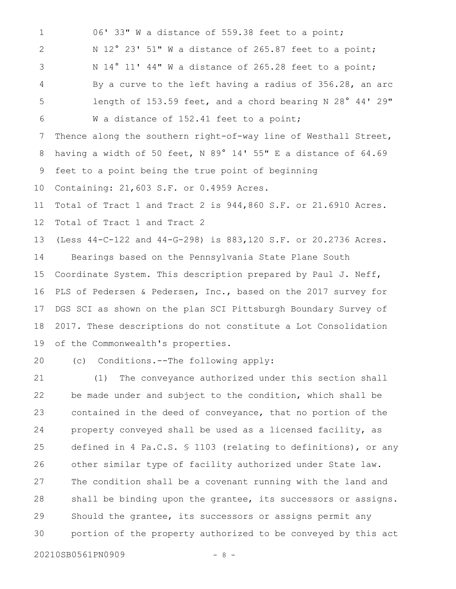06' 33" W a distance of 559.38 feet to a point; N 12° 23' 51" W a distance of 265.87 feet to a point; N 14° 11' 44" W a distance of 265.28 feet to a point; By a curve to the left having a radius of 356.28, an arc length of 153.59 feet, and a chord bearing N 28° 44' 29" W a distance of 152.41 feet to a point; Thence along the southern right-of-way line of Westhall Street, having a width of 50 feet, N 89° 14' 55" E a distance of 64.69 feet to a point being the true point of beginning Containing: 21,603 S.F. or 0.4959 Acres. Total of Tract 1 and Tract 2 is 944,860 S.F. or 21.6910 Acres. Total of Tract 1 and Tract 2 (Less 44-C-122 and 44-G-298) is 883,120 S.F. or 20.2736 Acres. Bearings based on the Pennsylvania State Plane South Coordinate System. This description prepared by Paul J. Neff, PLS of Pedersen & Pedersen, Inc., based on the 2017 survey for DGS SCI as shown on the plan SCI Pittsburgh Boundary Survey of 2017. These descriptions do not constitute a Lot Consolidation of the Commonwealth's properties. (c) Conditions.--The following apply: (1) The conveyance authorized under this section shall be made under and subject to the condition, which shall be contained in the deed of conveyance, that no portion of the property conveyed shall be used as a licensed facility, as defined in 4 Pa.C.S. § 1103 (relating to definitions), or any 1 2 3 4 5 6 7 8 9 10 11 12 13 14 15 16 17 18 19 20 21 22 23 24 25

20210SB0561PN0909 - 8 -

26

27

28

29

30

Should the grantee, its successors or assigns permit any

other similar type of facility authorized under State law.

The condition shall be a covenant running with the land and

shall be binding upon the grantee, its successors or assigns.

portion of the property authorized to be conveyed by this act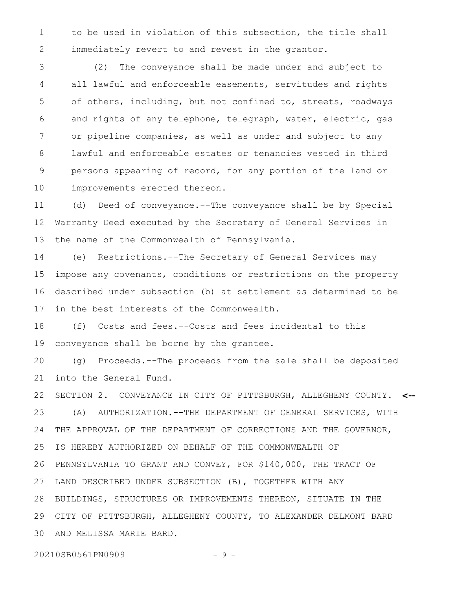to be used in violation of this subsection, the title shall immediately revert to and revest in the grantor. 1 2

(2) The conveyance shall be made under and subject to all lawful and enforceable easements, servitudes and rights of others, including, but not confined to, streets, roadways and rights of any telephone, telegraph, water, electric, gas or pipeline companies, as well as under and subject to any lawful and enforceable estates or tenancies vested in third persons appearing of record, for any portion of the land or improvements erected thereon. 3 4 5 6 7 8 9 10

(d) Deed of conveyance.--The conveyance shall be by Special Warranty Deed executed by the Secretary of General Services in the name of the Commonwealth of Pennsylvania. 11 12 13

(e) Restrictions.--The Secretary of General Services may impose any covenants, conditions or restrictions on the property described under subsection (b) at settlement as determined to be in the best interests of the Commonwealth. 14 15 16 17

(f) Costs and fees.--Costs and fees incidental to this conveyance shall be borne by the grantee. 18 19

(g) Proceeds.--The proceeds from the sale shall be deposited into the General Fund. 20 21

SECTION 2. CONVEYANCE IN CITY OF PITTSBURGH, ALLEGHENY COUNTY. **<--** (A) AUTHORIZATION.--THE DEPARTMENT OF GENERAL SERVICES, WITH THE APPROVAL OF THE DEPARTMENT OF CORRECTIONS AND THE GOVERNOR, IS HEREBY AUTHORIZED ON BEHALF OF THE COMMONWEALTH OF PENNSYLVANIA TO GRANT AND CONVEY, FOR \$140,000, THE TRACT OF LAND DESCRIBED UNDER SUBSECTION (B), TOGETHER WITH ANY BUILDINGS, STRUCTURES OR IMPROVEMENTS THEREON, SITUATE IN THE CITY OF PITTSBURGH, ALLEGHENY COUNTY, TO ALEXANDER DELMONT BARD AND MELISSA MARIE BARD. 22 23 24 25 26 27 28 29 30

20210SB0561PN0909 - 9 -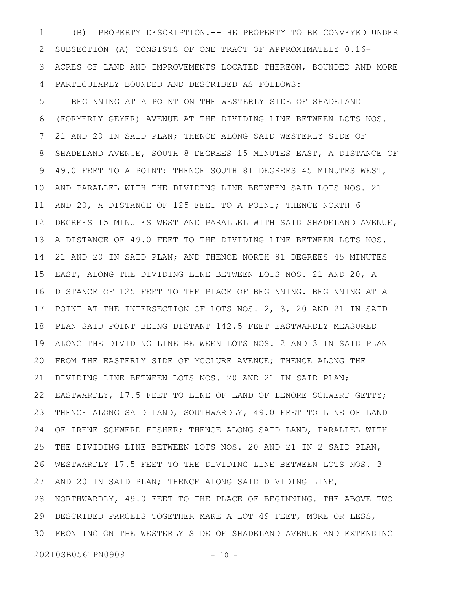(B) PROPERTY DESCRIPTION.--THE PROPERTY TO BE CONVEYED UNDER SUBSECTION (A) CONSISTS OF ONE TRACT OF APPROXIMATELY 0.16- ACRES OF LAND AND IMPROVEMENTS LOCATED THEREON, BOUNDED AND MORE PARTICULARLY BOUNDED AND DESCRIBED AS FOLLOWS: 1 2 3 4

BEGINNING AT A POINT ON THE WESTERLY SIDE OF SHADELAND (FORMERLY GEYER) AVENUE AT THE DIVIDING LINE BETWEEN LOTS NOS. 21 AND 20 IN SAID PLAN; THENCE ALONG SAID WESTERLY SIDE OF SHADELAND AVENUE, SOUTH 8 DEGREES 15 MINUTES EAST, A DISTANCE OF 49.0 FEET TO A POINT; THENCE SOUTH 81 DEGREES 45 MINUTES WEST, AND PARALLEL WITH THE DIVIDING LINE BETWEEN SAID LOTS NOS. 21 AND 20, A DISTANCE OF 125 FEET TO A POINT; THENCE NORTH 6 DEGREES 15 MINUTES WEST AND PARALLEL WITH SAID SHADELAND AVENUE, A DISTANCE OF 49.0 FEET TO THE DIVIDING LINE BETWEEN LOTS NOS. 21 AND 20 IN SAID PLAN; AND THENCE NORTH 81 DEGREES 45 MINUTES EAST, ALONG THE DIVIDING LINE BETWEEN LOTS NOS. 21 AND 20, A DISTANCE OF 125 FEET TO THE PLACE OF BEGINNING. BEGINNING AT A POINT AT THE INTERSECTION OF LOTS NOS. 2, 3, 20 AND 21 IN SAID PLAN SAID POINT BEING DISTANT 142.5 FEET EASTWARDLY MEASURED ALONG THE DIVIDING LINE BETWEEN LOTS NOS. 2 AND 3 IN SAID PLAN FROM THE EASTERLY SIDE OF MCCLURE AVENUE; THENCE ALONG THE DIVIDING LINE BETWEEN LOTS NOS. 20 AND 21 IN SAID PLAN; EASTWARDLY, 17.5 FEET TO LINE OF LAND OF LENORE SCHWERD GETTY; THENCE ALONG SAID LAND, SOUTHWARDLY, 49.0 FEET TO LINE OF LAND OF IRENE SCHWERD FISHER; THENCE ALONG SAID LAND, PARALLEL WITH THE DIVIDING LINE BETWEEN LOTS NOS. 20 AND 21 IN 2 SAID PLAN, WESTWARDLY 17.5 FEET TO THE DIVIDING LINE BETWEEN LOTS NOS. 3 AND 20 IN SAID PLAN; THENCE ALONG SAID DIVIDING LINE, NORTHWARDLY, 49.0 FEET TO THE PLACE OF BEGINNING. THE ABOVE TWO DESCRIBED PARCELS TOGETHER MAKE A LOT 49 FEET, MORE OR LESS, FRONTING ON THE WESTERLY SIDE OF SHADELAND AVENUE AND EXTENDING 305 6 7 8 9 10 11 12 13 14 15 16 17 18 19 20 21 22 23 24 25 26 27 28 29

20210SB0561PN0909 - 10 -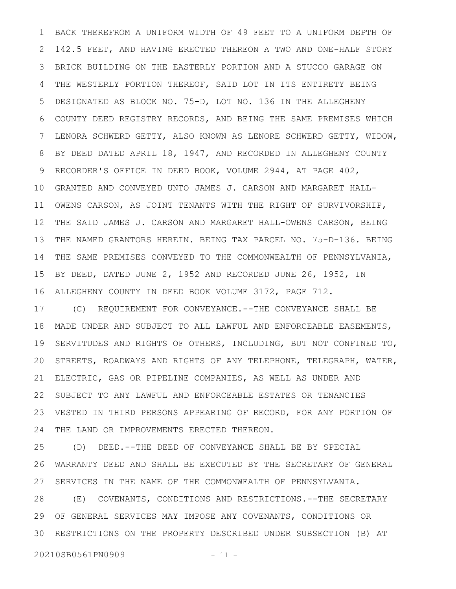BACK THEREFROM A UNIFORM WIDTH OF 49 FEET TO A UNIFORM DEPTH OF 142.5 FEET, AND HAVING ERECTED THEREON A TWO AND ONE-HALF STORY BRICK BUILDING ON THE EASTERLY PORTION AND A STUCCO GARAGE ON THE WESTERLY PORTION THEREOF, SAID LOT IN ITS ENTIRETY BEING DESIGNATED AS BLOCK NO. 75-D, LOT NO. 136 IN THE ALLEGHENY COUNTY DEED REGISTRY RECORDS, AND BEING THE SAME PREMISES WHICH LENORA SCHWERD GETTY, ALSO KNOWN AS LENORE SCHWERD GETTY, WIDOW, BY DEED DATED APRIL 18, 1947, AND RECORDED IN ALLEGHENY COUNTY RECORDER'S OFFICE IN DEED BOOK, VOLUME 2944, AT PAGE 402, GRANTED AND CONVEYED UNTO JAMES J. CARSON AND MARGARET HALL-OWENS CARSON, AS JOINT TENANTS WITH THE RIGHT OF SURVIVORSHIP, THE SAID JAMES J. CARSON AND MARGARET HALL-OWENS CARSON, BEING THE NAMED GRANTORS HEREIN. BEING TAX PARCEL NO. 75-D-136. BEING THE SAME PREMISES CONVEYED TO THE COMMONWEALTH OF PENNSYLVANIA, BY DEED, DATED JUNE 2, 1952 AND RECORDED JUNE 26, 1952, IN ALLEGHENY COUNTY IN DEED BOOK VOLUME 3172, PAGE 712. 1 2 3 4 5 6 7 8 9 10 11 12 13 14 15 16

(C) REQUIREMENT FOR CONVEYANCE.--THE CONVEYANCE SHALL BE MADE UNDER AND SUBJECT TO ALL LAWFUL AND ENFORCEABLE EASEMENTS, SERVITUDES AND RIGHTS OF OTHERS, INCLUDING, BUT NOT CONFINED TO, STREETS, ROADWAYS AND RIGHTS OF ANY TELEPHONE, TELEGRAPH, WATER, ELECTRIC, GAS OR PIPELINE COMPANIES, AS WELL AS UNDER AND SUBJECT TO ANY LAWFUL AND ENFORCEABLE ESTATES OR TENANCIES VESTED IN THIRD PERSONS APPEARING OF RECORD, FOR ANY PORTION OF THE LAND OR IMPROVEMENTS ERECTED THEREON. 17 18 19 20 21 22 23 24

(D) DEED.--THE DEED OF CONVEYANCE SHALL BE BY SPECIAL WARRANTY DEED AND SHALL BE EXECUTED BY THE SECRETARY OF GENERAL SERVICES IN THE NAME OF THE COMMONWEALTH OF PENNSYLVANIA. 25 26 27

(E) COVENANTS, CONDITIONS AND RESTRICTIONS.--THE SECRETARY OF GENERAL SERVICES MAY IMPOSE ANY COVENANTS, CONDITIONS OR 30 RESTRICTIONS ON THE PROPERTY DESCRIBED UNDER SUBSECTION (B) AT 28 29

20210SB0561PN0909 - 11 -